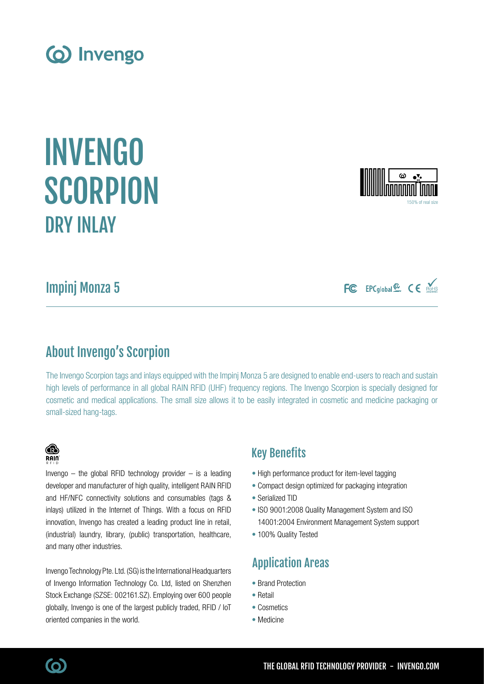Impinj Monza 5

DRY INLAY

## About Invengo's Scorpion

The Invengo Scorpion tags and inlays equipped with the Impinj Monza 5 are designed to enable end-users to reach and sustain high levels of performance in all global RAIN RFID (UHF) frequency regions. The Invengo Scorpion is specially designed for cosmetic and medical applications. The small size allows it to be easily integrated in cosmetic and medicine packaging or small-sized hang-tags.

### Key Benefits

- High performance product for item-level tagging
- Compact design optimized for packaging integration
- Serialized TID
- ISO 9001:2008 Quality Management System and ISO 14001:2004 Environment Management System support
- 100% Quality Tested

## Application Areas

- Brand Protection
- Retail
- Cosmetics
- Medicine

# and many other industries. Invengo Technology Pte. Ltd. (SG) is the International Headquarters

of Invengo Information Technology Co. Ltd, listed on Shenzhen Stock Exchange (SZSE: 002161.SZ). Employing over 600 people globally, Invengo is one of the largest publicly traded, RFID / IoT oriented companies in the world.

Invengo  $-$  the global RFID technology provider  $-$  is a leading developer and manufacturer of high quality, intelligent RAIN RFID and HF/NFC connectivity solutions and consumables (tags & inlays) utilized in the Internet of Things. With a focus on RFID innovation, Invengo has created a leading product line in retail, (industrial) laundry, library, (public) transportation, healthcare,



INVENGO

**SCORPION** 







(ဝ)